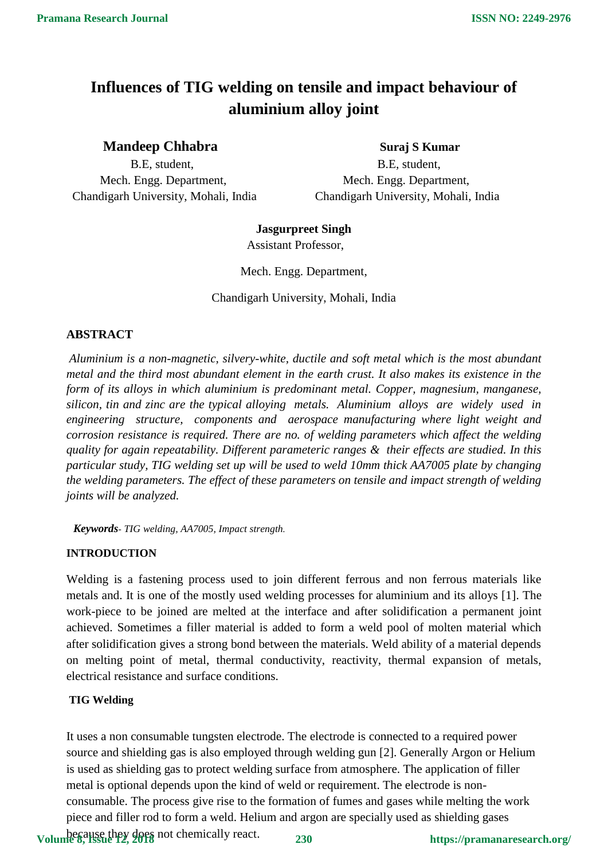# **Influences of TIG welding on tensile and impact behaviour of aluminium alloy joint**

### **Mandeep Chhabra** Suraj S Kumar

B.E, student, B.E, student, Mech. Engg. Department, Mech. Engg. Department, Chandigarh University, Mohali, India Chandigarh University, Mohali, India

### **Jasgurpreet Singh**

Assistant Professor,

Mech. Engg. Department,

Chandigarh University, Mohali, India

## **ABSTRACT**

*Aluminium is a non-magnetic, silvery-white, ductile and soft metal which is the most abundant metal and the third most abundant element in the earth crust. It also makes its existence in the form of its alloys in which aluminium is predominant metal. Copper, magnesium, manganese, silicon, tin and zinc are the typical alloying metals. Aluminium alloys are widely used in engineering structure, components and aerospace manufacturing where light weight and corrosion resistance is required. There are no. of welding parameters which affect the welding quality for again repeatability. Different parameteric ranges & their effects are studied. In this particular study, TIG welding set up will be used to weld 10mm thick AA7005 plate by changing the welding parameters. The effect of these parameters on tensile and impact strength of welding joints will be analyzed.*

*Keywords- TIG welding, AA7005, Impact strength.*

### **INTRODUCTION**

Welding is a fastening process used to join different ferrous and non ferrous materials like metals and. It is one of the mostly used welding processes for aluminium and its alloys [1]. The work-piece to be joined are melted at the interface and after solidification a permanent joint achieved. Sometimes a filler material is added to form a weld pool of molten material which after solidification gives a strong bond between the materials. Weld ability of a material depends on melting point of metal, thermal conductivity, reactivity, thermal expansion of metals, electrical resistance and surface conditions.

### **TIG Welding**

It uses a non consumable tungsten electrode. The electrode is connected to a required power source and shielding gas is also employed through welding gun [2]. Generally Argon or Helium is used as shielding gas to protect welding surface from atmosphere. The application of filler metal is optional depends upon the kind of weld or requirement. The electrode is nonconsumable. The process give rise to the formation of fumes and gases while melting the work piece and filler rod to form a weld. Helium and argon are specially used as shielding gases

Volume 8, Issue they does not chemically react.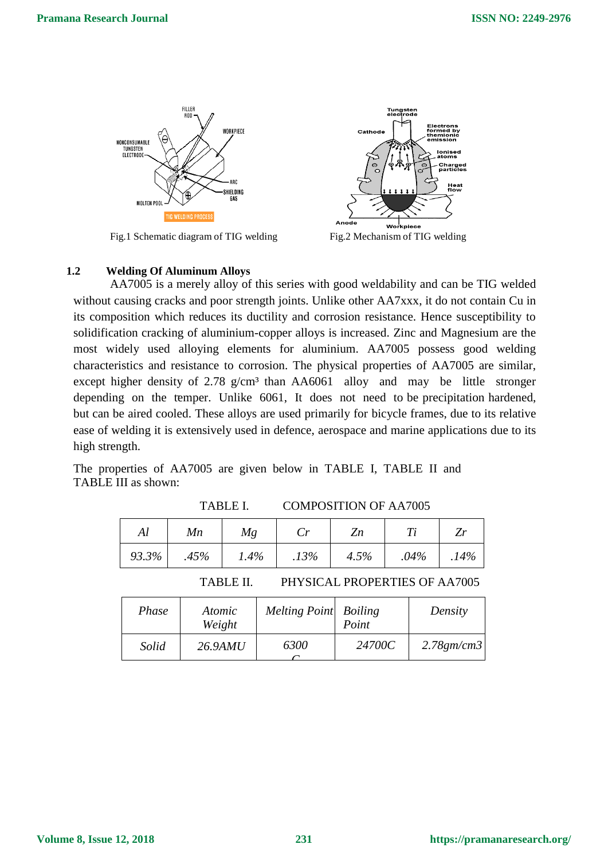

Fig.1 Schematic diagram of TIG welding Fig.2 Mechanism of TIG welding



#### **1.2 Welding Of Aluminum Alloys**

AA7005 is a merely alloy of this series with good weldability and can be TIG welded without causing cracks and poor strength joints. Unlike other AA7xxx, it do not contain Cu in its composition which reduces its ductility and corrosion resistance. Hence susceptibility to solidification cracking of aluminium-copper alloys is increased. Zinc and Magnesium are the most widely used alloying elements for aluminium. AA7005 possess good welding characteristics and resistance to corrosion. The physical properties of AA7005 are similar, except higher density of  $2.78$  g/cm<sup>3</sup> than AA6061 alloy and may be little stronger depending on the temper. Unlike 6061, It does not need to be [precipitation hardened,](https://en.wikipedia.org/wiki/Precipitation_hardened)  [bu](https://en.wikipedia.org/wiki/Precipitation_hardened)t can be aired cooled. These alloys are used primarily for [bicycle fr](https://en.wikipedia.org/wiki/Bicycle)ames, due to its relative ease of [welding it](https://en.wikipedia.org/wiki/Welding) is extensively used in defence, aerospace and marine applications due to its high strength.

The properties of AA7005 are given below in TABLE I, TABLE II and TABLE III as shown:

| TABLE I |    | <b>COMPOSITION OF AA7005</b> |    |  |  |
|---------|----|------------------------------|----|--|--|
| Мn      | Мg | $\mathcal{C}^r$              | Zn |  |  |
|         |    |                              |    |  |  |

| $\Delta t$ | IIIU    | III <sub>K</sub> | ◡    | ∠″      | . .     | <b>LI</b> |
|------------|---------|------------------|------|---------|---------|-----------|
| 93.3%      | $.45\%$ | 1.4%             | .13% | $4.5\%$ | $.04\%$ | .14%      |
|            |         |                  |      |         |         |           |

TABLE II. PHYSICAL PROPERTIES OF AA7005

| Phase | Atomic<br>Weight | Melting Point Boiling | Point  | Density       |
|-------|------------------|-----------------------|--------|---------------|
| Solid | 26.9AMU          | 6300                  | 24700C | $2.78$ gm/cm3 |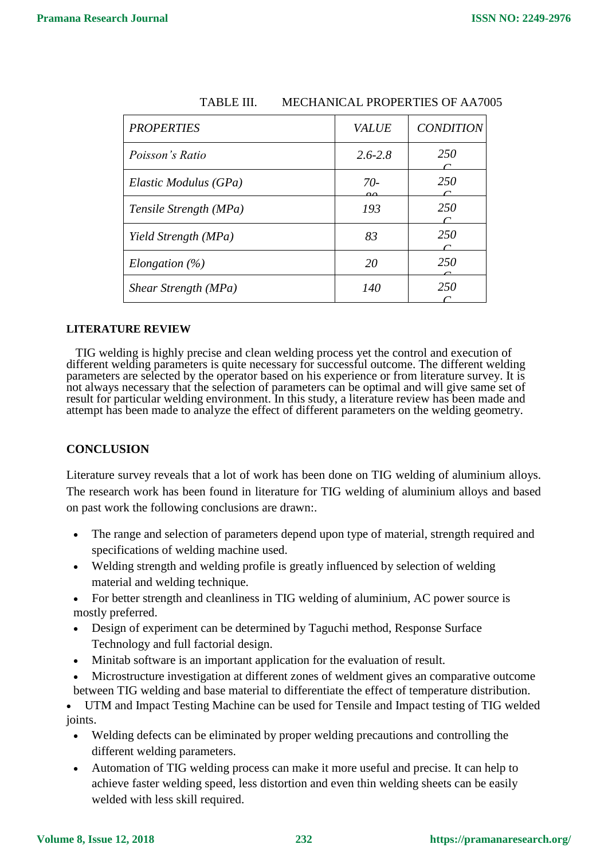| <b>PROPERTIES</b>      | <b>VALUE</b>      | <b>CONDITION</b> |
|------------------------|-------------------|------------------|
| Poisson's Ratio        | $2.6 - 2.8$       | <i>250</i>       |
| Elastic Modulus (GPa)  | $70-$<br>$\Omega$ | <i>250</i>       |
| Tensile Strength (MPa) | 193               | 250              |
| Yield Strength (MPa)   | 83                | 250              |
| Elongation $(\%)$      | 20                | <i>250</i>       |
| Shear Strength (MPa)   | 140               | 250              |

| TABLE III. | <b>MECHANICAL PROPERTIES OF AA7005</b> |  |
|------------|----------------------------------------|--|
|            |                                        |  |

#### **LITERATURE REVIEW**

 TIG welding is highly precise and clean welding process yet the control and execution of different welding parameters is quite necessary for successful outcome. The different welding parameters are selected by the operator based on his experience or from literature survey. It is not always necessary that the selection of parameters can be optimal and will give same set of result for particular welding environment. In this study, a literature review has been made and attempt has been made to analyze the effect of different parameters on the welding geometry.

#### **CONCLUSION**

Literature survey reveals that a lot of work has been done on TIG welding of aluminium alloys. The research work has been found in literature for TIG welding of aluminium alloys and based on past work the following conclusions are drawn:.

- The range and selection of parameters depend upon type of material, strength required and specifications of welding machine used.
- Welding strength and welding profile is greatly influenced by selection of welding material and welding technique.
- For better strength and cleanliness in TIG welding of aluminium, AC power source is mostly preferred.
- Design of experiment can be determined by Taguchi method, Response Surface Technology and full factorial design.
- Minitab software is an important application for the evaluation of result.
- Microstructure investigation at different zones of weldment gives an comparative outcome between TIG welding and base material to differentiate the effect of temperature distribution.

 UTM and Impact Testing Machine can be used for Tensile and Impact testing of TIG welded joints.

- Welding defects can be eliminated by proper welding precautions and controlling the different welding parameters.
- Automation of TIG welding process can make it more useful and precise. It can help to achieve faster welding speed, less distortion and even thin welding sheets can be easily welded with less skill required.